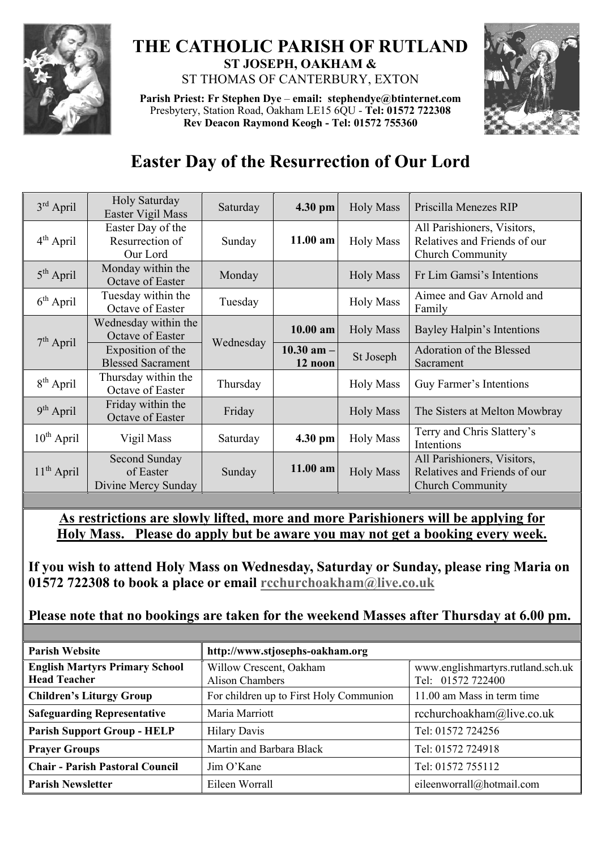

## **THE CATHOLIC PARISH OF RUTLAND ST JOSEPH, OAKHAM &**  ST THOMAS OF CANTERBURY, EXTON

**Parish Priest: Fr Stephen Dye** – **[email: stephendye@btinternet.com](mailto:email:%20%20stephendye@btinternet.com)** Presbytery, Station Road, Oakham LE15 6QU - **Tel: 01572 722308 Rev Deacon Raymond Keogh - Tel: 01572 755360**



## **Easter Day of the Resurrection of Our Lord**

| $3rd$ April     | Holy Saturday<br>Easter Vigil Mass                | Saturday  | $4.30$ pm                 | <b>Holy Mass</b> | Priscilla Menezes RIP                                                                  |
|-----------------|---------------------------------------------------|-----------|---------------------------|------------------|----------------------------------------------------------------------------------------|
| $4th$ April     | Easter Day of the<br>Resurrection of<br>Our Lord  | Sunday    | $11.00$ am                | <b>Holy Mass</b> | All Parishioners, Visitors,<br>Relatives and Friends of our<br><b>Church Community</b> |
| $5th$ April     | Monday within the<br>Octave of Easter             | Monday    |                           | <b>Holy Mass</b> | Fr Lim Gamsi's Intentions                                                              |
| $6th$ April     | Tuesday within the<br>Octave of Easter            | Tuesday   |                           | <b>Holy Mass</b> | Aimee and Gav Arnold and<br>Family                                                     |
| $7th$ April     | Wednesday within the<br>Octave of Easter          | Wednesday | $10.00$ am                | <b>Holy Mass</b> | Bayley Halpin's Intentions                                                             |
|                 | Exposition of the<br><b>Blessed Sacrament</b>     |           | $10.30$ am $-$<br>12 noon | St Joseph        | Adoration of the Blessed<br>Sacrament                                                  |
| $8th$ April     | Thursday within the<br>Octave of Easter           | Thursday  |                           | <b>Holy Mass</b> | Guy Farmer's Intentions                                                                |
| $9th$ April     | Friday within the<br>Octave of Easter             | Friday    |                           | <b>Holy Mass</b> | The Sisters at Melton Mowbray                                                          |
| $10^{th}$ April | Vigil Mass                                        | Saturday  | 4.30 pm                   | <b>Holy Mass</b> | Terry and Chris Slattery's<br>Intentions                                               |
| $11th$ April    | Second Sunday<br>of Easter<br>Divine Mercy Sunday | Sunday    | 11.00 am                  | <b>Holy Mass</b> | All Parishioners, Visitors,<br>Relatives and Friends of our<br>Church Community        |

**As restrictions are slowly lifted, more and more Parishioners will be applying for Holy Mass. Please do apply but be aware you may not get a booking every week.**

**If you wish to attend Holy Mass on Wednesday, Saturday or Sunday, please ring Maria on 01572 722308 to book a place or email [rcchurchoakham@live.co.uk](mailto:rcchurchoakham@live.co.uk)**

**Please note that no bookings are taken for the weekend Masses after Thursday at 6.00 pm.**

| <b>Parish Website</b>                                        | http://www.stjosephs-oakham.org                   |                                                        |  |  |
|--------------------------------------------------------------|---------------------------------------------------|--------------------------------------------------------|--|--|
| <b>English Martyrs Primary School</b><br><b>Head Teacher</b> | Willow Crescent, Oakham<br><b>Alison Chambers</b> | www.englishmartyrs.rutland.sch.uk<br>Tel: 01572 722400 |  |  |
| <b>Children's Liturgy Group</b>                              | For children up to First Holy Communion           | 11.00 am Mass in term time                             |  |  |
| <b>Safeguarding Representative</b>                           | Maria Marriott                                    | rcchurchoakham@live.co.uk                              |  |  |
| <b>Parish Support Group - HELP</b>                           | <b>Hilary Davis</b>                               | Tel: 01572 724256                                      |  |  |
| <b>Prayer Groups</b>                                         | Martin and Barbara Black                          | Tel: 01572 724918                                      |  |  |
| <b>Chair - Parish Pastoral Council</b>                       | Jim O'Kane                                        | Tel: 01572 755112                                      |  |  |
| <b>Parish Newsletter</b>                                     | Eileen Worrall                                    | eileenworrall@hotmail.com                              |  |  |